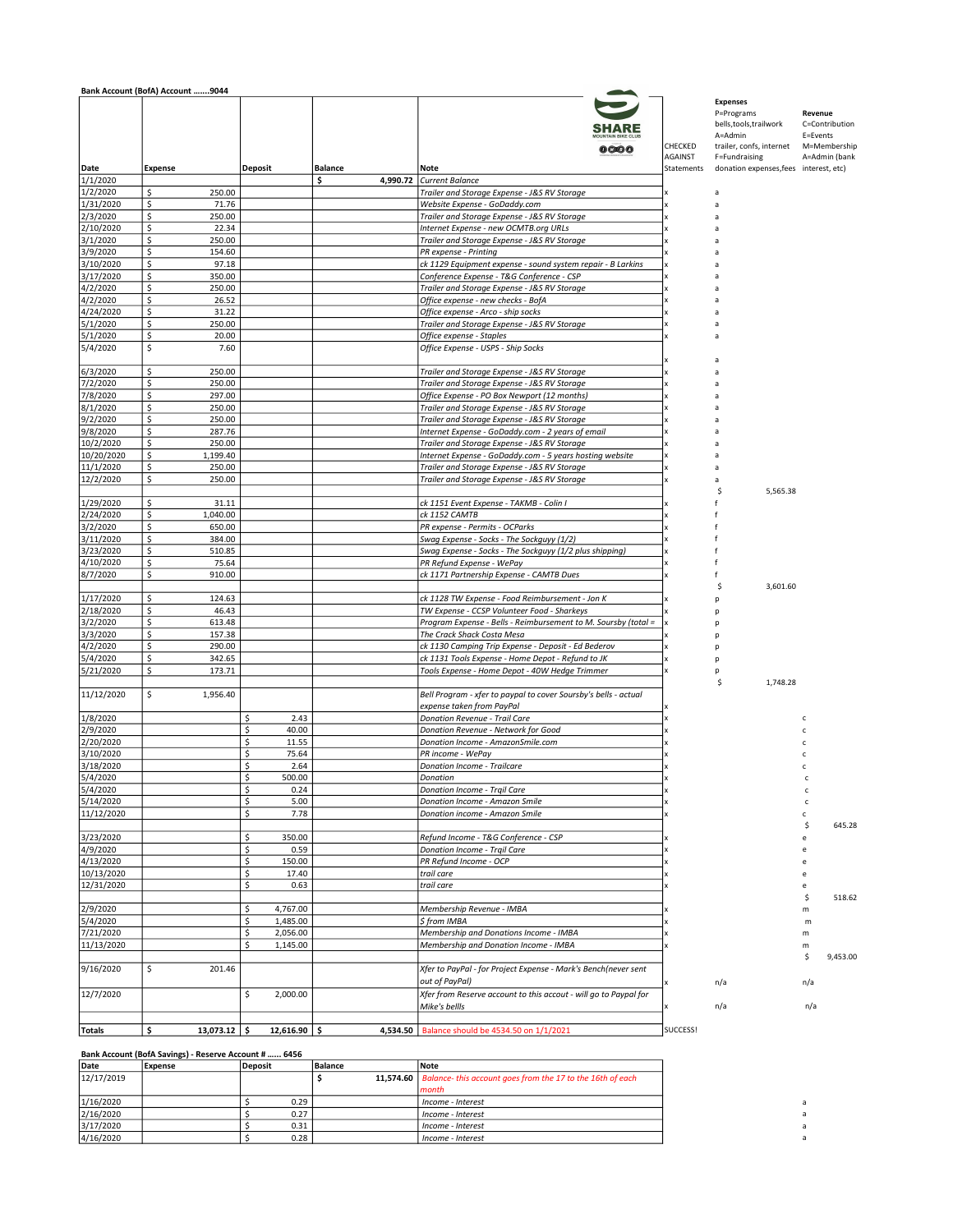|                       | Bank Account (BofA) Account 9044 |                            |                |                                                                                                   |                           |                                                                                                                  |                     |                                                 |
|-----------------------|----------------------------------|----------------------------|----------------|---------------------------------------------------------------------------------------------------|---------------------------|------------------------------------------------------------------------------------------------------------------|---------------------|-------------------------------------------------|
|                       |                                  |                            |                | 0000                                                                                              | CHECKED<br><b>AGAINST</b> | <b>Expenses</b><br>P=Programs<br>bells, tools, trailwork<br>A=Admin<br>trailer, confs, internet<br>F=Fundraising | Revenue<br>E=Events | C=Contribution<br>M=Membership<br>A=Admin (bank |
| Date                  | <b>Expense</b>                   | <b>Deposit</b>             | <b>Balance</b> | Note                                                                                              | Statements                | donation expenses, fees interest, etc)                                                                           |                     |                                                 |
| 1/1/2020              |                                  |                            | \$<br>4,990.72 | Current Balance                                                                                   |                           |                                                                                                                  |                     |                                                 |
| 1/2/2020              | \$<br>250.00<br>\$<br>71.76      |                            |                | Trailer and Storage Expense - J&S RV Storage                                                      |                           | a                                                                                                                |                     |                                                 |
| 1/31/2020<br>2/3/2020 | \$<br>250.00                     |                            |                | Website Expense - GoDaddy.com<br>Trailer and Storage Expense - J&S RV Storage                     |                           | a<br>a                                                                                                           |                     |                                                 |
| 2/10/2020             | \$<br>22.34                      |                            |                | Internet Expense - new OCMTB.org URLs                                                             |                           |                                                                                                                  |                     |                                                 |
| 3/1/2020              | \$<br>250.00                     |                            |                | Trailer and Storage Expense - J&S RV Storage                                                      |                           |                                                                                                                  |                     |                                                 |
| 3/9/2020              | \$<br>154.60                     |                            |                | PR expense - Printing                                                                             |                           |                                                                                                                  |                     |                                                 |
| 3/10/2020             | \$<br>97.18                      |                            |                | ck 1129 Equipment expense - sound system repair - B Larkins                                       |                           |                                                                                                                  |                     |                                                 |
| 3/17/2020             | \$<br>350.00                     |                            |                | Conference Expense - T&G Conference - CSP                                                         |                           |                                                                                                                  |                     |                                                 |
| 4/2/2020              | \$<br>250.00                     |                            |                | Trailer and Storage Expense - J&S RV Storage                                                      |                           |                                                                                                                  |                     |                                                 |
| 4/2/2020              | \$<br>26.52                      |                            |                | Office expense - new checks - BofA                                                                |                           |                                                                                                                  |                     |                                                 |
| 4/24/2020             | \$<br>31.22                      |                            |                | Office expense - Arco - ship socks                                                                |                           |                                                                                                                  |                     |                                                 |
| 5/1/2020<br>5/1/2020  | \$<br>250.00<br>\$<br>20.00      |                            |                | Trailer and Storage Expense - J&S RV Storage<br>Office expense - Staples                          |                           |                                                                                                                  |                     |                                                 |
| 5/4/2020              | \$<br>7.60                       |                            |                | Office Expense - USPS - Ship Socks                                                                |                           |                                                                                                                  |                     |                                                 |
| 6/3/2020              | \$<br>250.00                     |                            |                | Trailer and Storage Expense - J&S RV Storage                                                      |                           |                                                                                                                  |                     |                                                 |
| 7/2/2020              | \$<br>250.00                     |                            |                | Trailer and Storage Expense - J&S RV Storage                                                      |                           |                                                                                                                  |                     |                                                 |
| 7/8/2020              | \$<br>297.00                     |                            |                | Office Expense - PO Box Newport (12 months)                                                       |                           |                                                                                                                  |                     |                                                 |
| 8/1/2020              | \$<br>250.00                     |                            |                | Trailer and Storage Expense - J&S RV Storage                                                      |                           |                                                                                                                  |                     |                                                 |
| 9/2/2020              | \$<br>250.00                     |                            |                | Trailer and Storage Expense - J&S RV Storage                                                      |                           |                                                                                                                  |                     |                                                 |
| 9/8/2020<br>10/2/2020 | \$<br>287.76<br>\$<br>250.00     |                            |                | Internet Expense - GoDaddy.com - 2 years of email<br>Trailer and Storage Expense - J&S RV Storage |                           |                                                                                                                  |                     |                                                 |
| 10/20/2020            | \$<br>1,199.40                   |                            |                | Internet Expense - GoDaddy.com - 5 years hosting website                                          |                           |                                                                                                                  |                     |                                                 |
| 11/1/2020             | \$<br>250.00                     |                            |                | Trailer and Storage Expense - J&S RV Storage                                                      |                           |                                                                                                                  |                     |                                                 |
| 12/2/2020             | \$<br>250.00                     |                            |                | Trailer and Storage Expense - J&S RV Storage                                                      |                           |                                                                                                                  |                     |                                                 |
|                       |                                  |                            |                |                                                                                                   |                           | 5,565.38<br>S                                                                                                    |                     |                                                 |
| 1/29/2020             | \$<br>31.11                      |                            |                | ck 1151 Event Expense - TAKMB - Colin I                                                           |                           |                                                                                                                  |                     |                                                 |
| 2/24/2020             | \$<br>1,040.00                   |                            |                | ck 1152 CAMTB                                                                                     |                           |                                                                                                                  |                     |                                                 |
| 3/2/2020              | \$<br>650.00                     |                            |                | PR expense - Permits - OCParks                                                                    |                           |                                                                                                                  |                     |                                                 |
| 3/11/2020             | \$<br>384.00                     |                            |                | Swag Expense - Socks - The Sockguyy (1/2)                                                         |                           |                                                                                                                  |                     |                                                 |
| 3/23/2020             | \$<br>510.85                     |                            |                | Swag Expense - Socks - The Sockguyy (1/2 plus shipping)                                           |                           |                                                                                                                  |                     |                                                 |
| 4/10/2020             | \$<br>75.64                      |                            |                | PR Refund Expense - WePay                                                                         |                           |                                                                                                                  |                     |                                                 |
| 8/7/2020              | \$<br>910.00                     |                            |                | ck 1171 Partnership Expense - CAMTB Dues                                                          |                           | Ś                                                                                                                |                     |                                                 |
| 1/17/2020             | \$<br>124.63                     |                            |                | ck 1128 TW Expense - Food Reimbursement - Jon K                                                   |                           | 3,601.60                                                                                                         |                     |                                                 |
| 2/18/2020             | \$<br>46.43                      |                            |                | TW Expense - CCSP Volunteer Food - Sharkeys                                                       |                           |                                                                                                                  |                     |                                                 |
| 3/2/2020              | \$<br>613.48                     |                            |                | Program Expense - Bells - Reimbursement to M. Soursby (total =                                    |                           |                                                                                                                  |                     |                                                 |
| 3/3/2020              | \$<br>157.38                     |                            |                | The Crack Shack Costa Mesa                                                                        |                           |                                                                                                                  |                     |                                                 |
| 4/2/2020              | \$<br>290.00                     |                            |                | ck 1130 Camping Trip Expense - Deposit - Ed Bederov                                               |                           |                                                                                                                  |                     |                                                 |
| 5/4/2020              | \$<br>342.65                     |                            |                | ck 1131 Tools Expense - Home Depot - Refund to JK                                                 |                           |                                                                                                                  |                     |                                                 |
| 5/21/2020             | \$<br>173.71                     |                            |                | Tools Expense - Home Depot - 40W Hedge Trimmer                                                    |                           |                                                                                                                  |                     |                                                 |
| 11/12/2020            | \$<br>1,956.40                   |                            |                | Bell Program - xfer to paypal to cover Soursby's bells - actual                                   |                           | Ś<br>1,748.28                                                                                                    |                     |                                                 |
| 1/8/2020              |                                  | \$<br>2.43                 |                | expense taken from PayPal<br>Donation Revenue - Trail Care                                        |                           |                                                                                                                  |                     |                                                 |
| 2/9/2020              |                                  | \$<br>40.00                |                | Donation Revenue - Network for Good                                                               |                           |                                                                                                                  |                     |                                                 |
| 2/20/2020             |                                  | \$<br>11.55                |                | Donation Income - AmazonSmile.com                                                                 |                           |                                                                                                                  |                     |                                                 |
| 3/10/2020             |                                  | \$<br>75.64                |                | PR income - WePay                                                                                 |                           |                                                                                                                  |                     |                                                 |
| 3/18/2020             |                                  | \$<br>2.64                 |                | Donation Income - Trailcare                                                                       |                           |                                                                                                                  |                     |                                                 |
| 5/4/2020              |                                  | \$<br>500.00               |                | Donation                                                                                          |                           |                                                                                                                  |                     |                                                 |
| 5/4/2020              |                                  | \$<br>0.24                 |                | Donation Income - Trqil Care                                                                      |                           |                                                                                                                  | c                   |                                                 |
| 5/14/2020             |                                  | \$<br>5.00                 |                | Donation Income - Amazon Smile                                                                    |                           |                                                                                                                  | c                   |                                                 |
| 11/12/2020            |                                  | \$<br>7.78                 |                | Donation income - Amazon Smile                                                                    |                           |                                                                                                                  | c                   |                                                 |
|                       |                                  |                            |                |                                                                                                   |                           |                                                                                                                  | \$                  | 645.28                                          |
| 3/23/2020             |                                  | \$<br>350.00               |                | Refund Income - T&G Conference - CSP                                                              |                           |                                                                                                                  | e                   |                                                 |
| 4/9/2020<br>4/13/2020 |                                  | \$<br>0.59<br>\$<br>150.00 |                | Donation Income - Trgil Care<br>PR Refund Income - OCP                                            |                           |                                                                                                                  | e                   |                                                 |
| 10/13/2020            |                                  | \$<br>17.40                |                | trail care                                                                                        |                           |                                                                                                                  | e                   |                                                 |
| 12/31/2020            |                                  | \$<br>0.63                 |                | trail care                                                                                        |                           |                                                                                                                  | e                   |                                                 |
|                       |                                  |                            |                |                                                                                                   |                           |                                                                                                                  | \$                  | 518.62                                          |
| 2/9/2020              |                                  | \$<br>4,767.00             |                | Membership Revenue - IMBA                                                                         |                           |                                                                                                                  | m                   |                                                 |
| 5/4/2020              |                                  | \$<br>1,485.00             |                | S from IMBA                                                                                       |                           |                                                                                                                  | m                   |                                                 |
| 7/21/2020             |                                  | \$<br>2,056.00             |                | Membership and Donations Income - IMBA                                                            |                           |                                                                                                                  | m                   |                                                 |
| 11/13/2020            |                                  | \$<br>1,145.00             |                | Membership and Donation Income - IMBA                                                             |                           |                                                                                                                  | m                   |                                                 |
|                       |                                  |                            |                |                                                                                                   |                           |                                                                                                                  | \$                  | 9,453.00                                        |
| 9/16/2020             | \$<br>201.46                     |                            |                | Xfer to PayPal - for Project Expense - Mark's Bench(never sent<br>out of PayPal)                  |                           | n/a                                                                                                              | n/a                 |                                                 |
| 12/7/2020             |                                  | \$<br>2,000.00             |                | Xfer from Reserve account to this accout - will go to Paypal for<br>Mike's bellls                 |                           | n/a                                                                                                              | n/a                 |                                                 |
|                       |                                  |                            |                |                                                                                                   |                           |                                                                                                                  |                     |                                                 |
| <b>Totals</b>         | \$<br>$13,073.12$ \$             | $12,616.90$ \$             |                | 4,534.50   Balance should be 4534.50 on 1/1/2021                                                  | SUCCESS!                  |                                                                                                                  |                     |                                                 |

## Bank Account (BofA Savings) - Reserve Account # …... 6456

| Date       | Expense | Deposit | Balance | Note                                                                   |  |
|------------|---------|---------|---------|------------------------------------------------------------------------|--|
| 12/17/2019 |         |         |         | 11,574.60   Balance- this account goes from the 17 to the 16th of each |  |
|            |         |         |         | month                                                                  |  |
| 1/16/2020  |         | 0.29    |         | i Income - Interest                                                    |  |
| 2/16/2020  |         | 0.27    |         | Income - Interest                                                      |  |
| 3/17/2020  |         | 0.31    |         | Income - Interest                                                      |  |
| 4/16/2020  |         | 0.28    |         | Income - Interest                                                      |  |